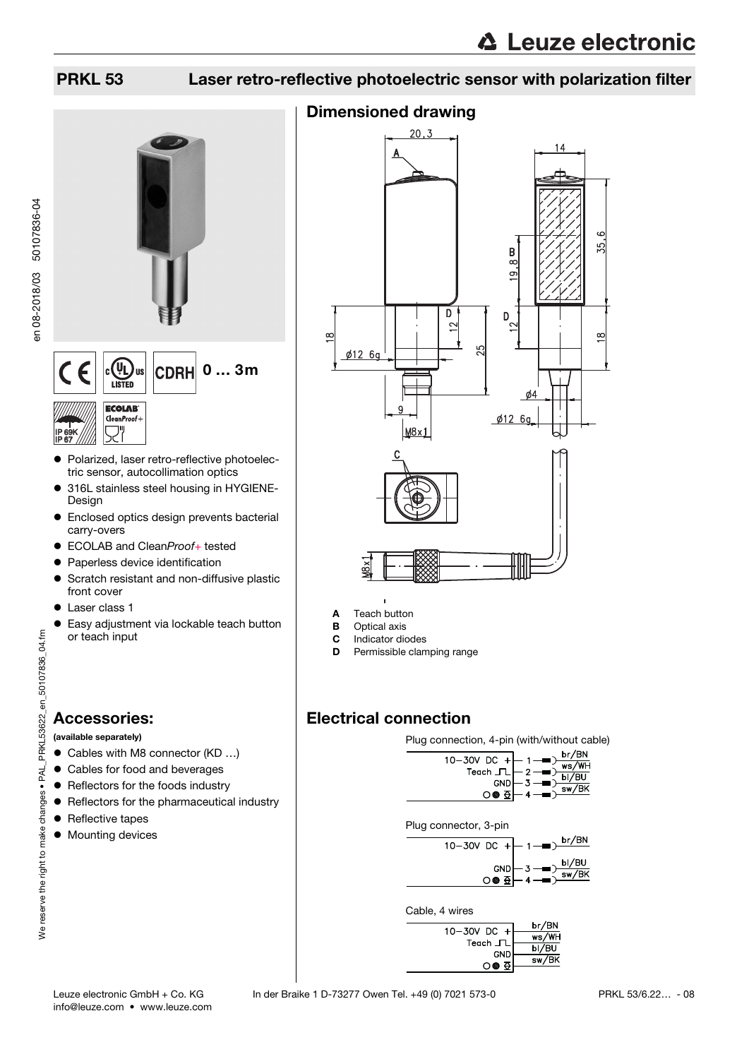

- Polarized, laser retro-reflective photoelectric sensor, autocollimation optics
- 316L stainless steel housing in HYGIENE-Design
- Enclosed optics design prevents bacterial carry-overs
- ECOLAB and CleanProof+ tested
- Paperless device identification
- **•** Scratch resistant and non-diffusive plastic front cover
- **•** Laser class 1
- Easy adjustment via lockable teach button or teach input

## Accessories:

PRKL53622\_en\_50107836\_04.fm

(available separately)

- Cables with M8 connector (KD ...)
- Cables for food and beverages
- **•** Reflectors for the foods industry
- **•** Reflectors for the pharmaceutical industry
- Reflective tapes
- $\bullet$  Mounting devices



- **A** Teach button<br>**B** Optical axis
- **Optical axis**
- C Indicator diodes
- **D** Permissible clamping range

## Electrical connection

Plug connection, 4-pin (with/without cable)



Plug connector, 3-pin



#### Cable, 4 wires

| $10 - 30V$ DC +               | br/BN |
|-------------------------------|-------|
|                               | ws/WH |
| Teach JL                      | bl/BU |
| <b>GND</b><br>O● <del>0</del> | sw/BK |
|                               |       |

IP 67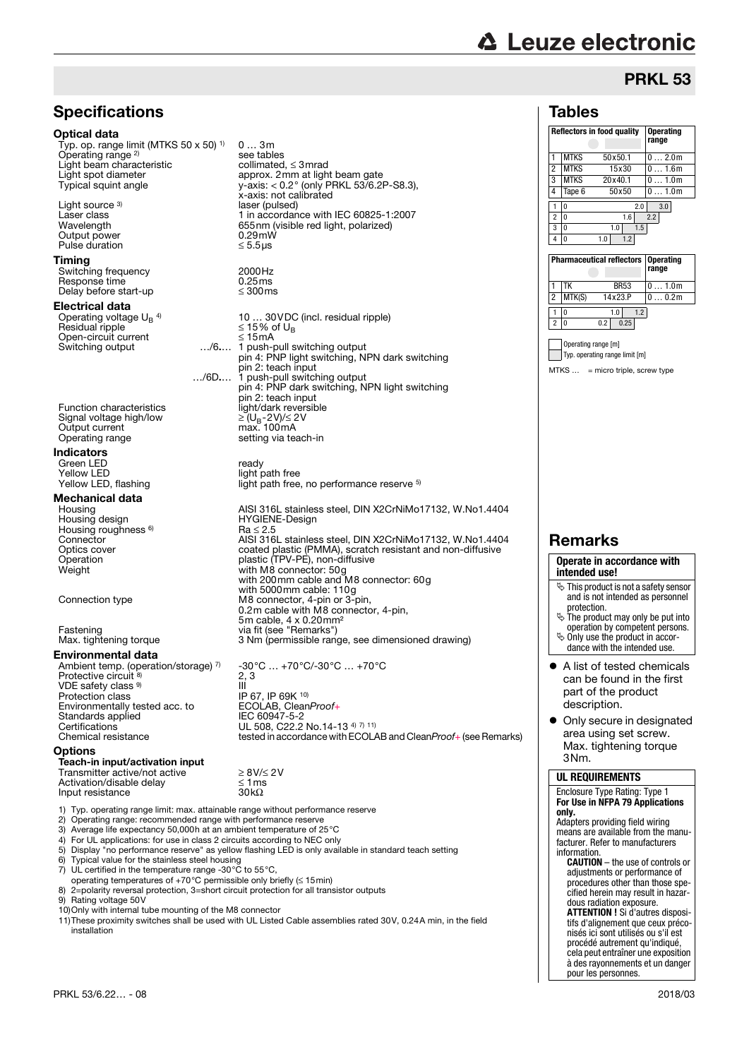# **∆ Leuze electronic**

## PRKL 53

<span id="page-1-0"></span>adjustments or performance of procedures other than those specified herein may result in hazardous radiation exposure.

pour les personnes.

| <b>Specifications</b>                                                                                                                              |                                                                                                        | <b>Tables</b>                                                 |                           |
|----------------------------------------------------------------------------------------------------------------------------------------------------|--------------------------------------------------------------------------------------------------------|---------------------------------------------------------------|---------------------------|
| <b>Optical data</b>                                                                                                                                |                                                                                                        | <b>Reflectors in food quality</b>                             | <b>Operating</b><br>range |
| Typ. op. range limit (MTKS 50 $\times$ 50) <sup>1)</sup>                                                                                           | 03m                                                                                                    |                                                               |                           |
| Operating range <sup>2)</sup><br>Light beam characteristic                                                                                         | see tables<br>collimated, $\leq$ 3 mrad                                                                | <b>MTKS</b><br>1<br>50x50.1                                   | 02.0m                     |
| Light spot diameter                                                                                                                                | approx. 2mm at light beam gate                                                                         | $\sqrt{2}$<br><b>MTKS</b><br>15x30                            | 01.6m                     |
| Typical squint angle                                                                                                                               | y-axis: < 0.2° (only PRKL 53/6.2P-S8.3),                                                               | 3<br><b>MTKS</b><br>20x40.1                                   | 01.0m                     |
|                                                                                                                                                    | x-axis: not calibrated                                                                                 | 4<br>50x50<br>Tape 6                                          | 01.0m                     |
| Light source 3)                                                                                                                                    | laser (pulsed)                                                                                         | $\mathbf{1}$<br>2.0<br>$\mathbf{0}$                           | 3.0                       |
| Laser class<br>Wavelength                                                                                                                          | 1 in accordance with IEC 60825-1:2007<br>655nm (visible red light, polarized)                          | 2 <sup>0</sup><br>1.6                                         | 2.2                       |
| Output power                                                                                                                                       | $0.29$ mW                                                                                              | 3 0<br>$1.0\,$<br>1.5<br>4 0<br>1.0<br>1.2                    |                           |
| Pulse duration                                                                                                                                     | $\leq 5.5$ µs                                                                                          |                                                               |                           |
| Timing                                                                                                                                             |                                                                                                        | <b>Pharmaceutical reflectors</b>                              | <b>Operating</b>          |
| Switching frequency                                                                                                                                | 2000Hz                                                                                                 |                                                               | range                     |
| Response time                                                                                                                                      | 0.25ms                                                                                                 | $1$ TK<br><b>BR53</b>                                         | 01.0m                     |
| Delay before start-up                                                                                                                              | $\leq 300$ ms                                                                                          | $\overline{c}$<br>MTK(S)<br>14x23.P                           | 00.2m                     |
| Electrical data                                                                                                                                    |                                                                                                        | 1.2<br>1 0<br>1.0                                             |                           |
| Operating voltage $U_B$ <sup>4)</sup>                                                                                                              | 10  30 VDC (incl. residual ripple)                                                                     | 2 <sub>0</sub><br>0.2<br>0.25                                 |                           |
| Residual ripple<br>Open-circuit current                                                                                                            | ≤ 15% of $U_R$<br>$\leq$ 15 mA                                                                         |                                                               |                           |
| Switching output                                                                                                                                   | /6 1 push-pull switching output                                                                        | Operating range [m]                                           |                           |
|                                                                                                                                                    | pin 4: PNP light switching, NPN dark switching                                                         | Typ. operating range limit [m]                                |                           |
|                                                                                                                                                    | pin 2: teach input                                                                                     | $MTKS$ = micro triple, screw type                             |                           |
|                                                                                                                                                    | /6D 1 push-pull switching output                                                                       |                                                               |                           |
|                                                                                                                                                    | pin 4: PNP dark switching, NPN light switching<br>pin 2: teach input                                   |                                                               |                           |
| <b>Function characteristics</b>                                                                                                                    | light/dark reversible                                                                                  |                                                               |                           |
| Signal voltage high/low                                                                                                                            | ≥(U <sub>B</sub> -2V)/≤ 2V                                                                             |                                                               |                           |
| Output current                                                                                                                                     | max. 100mA                                                                                             |                                                               |                           |
| Operating range                                                                                                                                    | setting via teach-in                                                                                   |                                                               |                           |
| Indicators                                                                                                                                         |                                                                                                        |                                                               |                           |
| Green LED                                                                                                                                          | ready                                                                                                  |                                                               |                           |
| <b>Yellow LED</b>                                                                                                                                  | light path free<br>light path free, no performance reserve 5)                                          |                                                               |                           |
| Yellow LED, flashing                                                                                                                               |                                                                                                        |                                                               |                           |
| Mechanical data                                                                                                                                    |                                                                                                        |                                                               |                           |
| Housing<br>Housing design                                                                                                                          | AISI 316L stainless steel, DIN X2CrNiMo17132, W.No1.4404<br><b>HYGIENE-Design</b>                      |                                                               |                           |
| Housing roughness <sup>6)</sup>                                                                                                                    | $Ra \leq 2.5$                                                                                          |                                                               |                           |
| Connector                                                                                                                                          | AISI 316L stainless steel, DIN X2CrNiMo17132, W.No1.4404                                               | <b>Remarks</b>                                                |                           |
| Optics cover                                                                                                                                       | coated plastic (PMMA), scratch resistant and non-diffusive                                             |                                                               |                           |
| Operation                                                                                                                                          | plastic (TPV-PE), non-diffusive<br>with M8 connector: 50g                                              | Operate in accordance with                                    |                           |
| Weight                                                                                                                                             | with 200 mm cable and M8 connector: 60g                                                                | intended use!                                                 |                           |
|                                                                                                                                                    | with 5000mm cable: 110g                                                                                | $\ddot{\phi}$ This product is not a safety sensor             |                           |
| Connection type                                                                                                                                    | M8 connector, 4-pin or 3-pin,                                                                          | and is not intended as personnel                              |                           |
|                                                                                                                                                    | 0.2m cable with M8 connector, 4-pin,                                                                   | protection.<br>$\ddot{\phi}$ The product may only be put into |                           |
| Fastening                                                                                                                                          | 5m cable, 4 x 0.20mm <sup>2</sup><br>via fit (see "Remarks")                                           | operation by competent persons.                               |                           |
| Max. tightening torque                                                                                                                             | 3 Nm (permissible range, see dimensioned drawing)                                                      | $\ddot{\phi}$ Only use the product in accor-                  |                           |
| Environmental data                                                                                                                                 |                                                                                                        | dance with the intended use.                                  |                           |
| Ambient temp. (operation/storage) 7)                                                                                                               | $-30^{\circ}$ C $+70^{\circ}$ C/-30 $^{\circ}$ C $+70^{\circ}$ C                                       | A list of tested chemicals                                    |                           |
| Protective circuit 8)                                                                                                                              | 2.3                                                                                                    | can be found in the first                                     |                           |
| VDE safety class <sup>9)</sup>                                                                                                                     | Ш                                                                                                      | part of the product                                           |                           |
| Protection class                                                                                                                                   | IP 67, IP 69K 10)                                                                                      | description.                                                  |                           |
| Environmentally tested acc. to<br>Standards applied                                                                                                | ECOLAB, CleanProof+<br>IEC 60947-5-2                                                                   |                                                               |                           |
| Certifications                                                                                                                                     | UL 508, C22.2 No.14-13 4) 7) 11)                                                                       | • Only secure in designated                                   |                           |
| Chemical resistance                                                                                                                                | tested in accordance with ECOLAB and CleanProof+ (see Remarks)                                         | area using set screw.                                         |                           |
| Options                                                                                                                                            |                                                                                                        | Max. tightening torque                                        |                           |
| Teach-in input/activation input                                                                                                                    |                                                                                                        | 3Nm.                                                          |                           |
| Transmitter active/not active                                                                                                                      | $\geq$ 8V/ $\leq$ 2V                                                                                   | <b>UL REQUIREMENTS</b>                                        |                           |
| Activation/disable delav                                                                                                                           | $\leq 1$ ms<br>$30k\Omega$                                                                             | Enclosure Type Rating: Type 1                                 |                           |
| Input resistance                                                                                                                                   |                                                                                                        | For Use in NFPA 79 Applications                               |                           |
| 1) Typ. operating range limit: max. attainable range without performance reserve                                                                   |                                                                                                        | only.                                                         |                           |
| 2) Operating range: recommended range with performance reserve                                                                                     |                                                                                                        | Adapters providing field wiring                               |                           |
| 3) Average life expectancy 50,000h at an ambient temperature of 25 °C<br>4) For UL applications: for use in class 2 circuits according to NEC only |                                                                                                        | means are available from the manu-                            |                           |
|                                                                                                                                                    | 5) Display "no performance reserve" as yellow flashing LED is only available in standard teach setting | facturer. Refer to manufacturers<br>information.              |                           |
| 6) Typical value for the stainless steel housing                                                                                                   |                                                                                                        | <b>CAUTION</b> - the use of controls or                       |                           |

5) Display "no performance Forman<br>6) Typical value for the 6) Typical value for the stainless steel housing<br>7) UL certified in the temperature range -30 $^{\circ}$ C

- 7) UL certified in the temperature range -30°C to 55°C, operating temperatures of +70°C permissible only briefly (≤ 15min)
- 8) 2=polarity reversal protection, 3=short circuit protection for all transistor outputs
- 9) Rating voltage 50V

10)Only with internal tube mounting of the M8 connector

11)These proximity switches shall be used with UL Listed Cable assemblies rated 30V, 0.24A min, in the installation

| <b>ATTENTION ! Si d'autres disposi-</b> |
|-----------------------------------------|
| tifs d'alignement que ceux préco-       |
| nisés ici sont utilisés ou s'il est     |
| procédé autrement qu'indiqué,           |
| cela peut entraîner une exposition      |
| à des rayonnements et un danger         |
|                                         |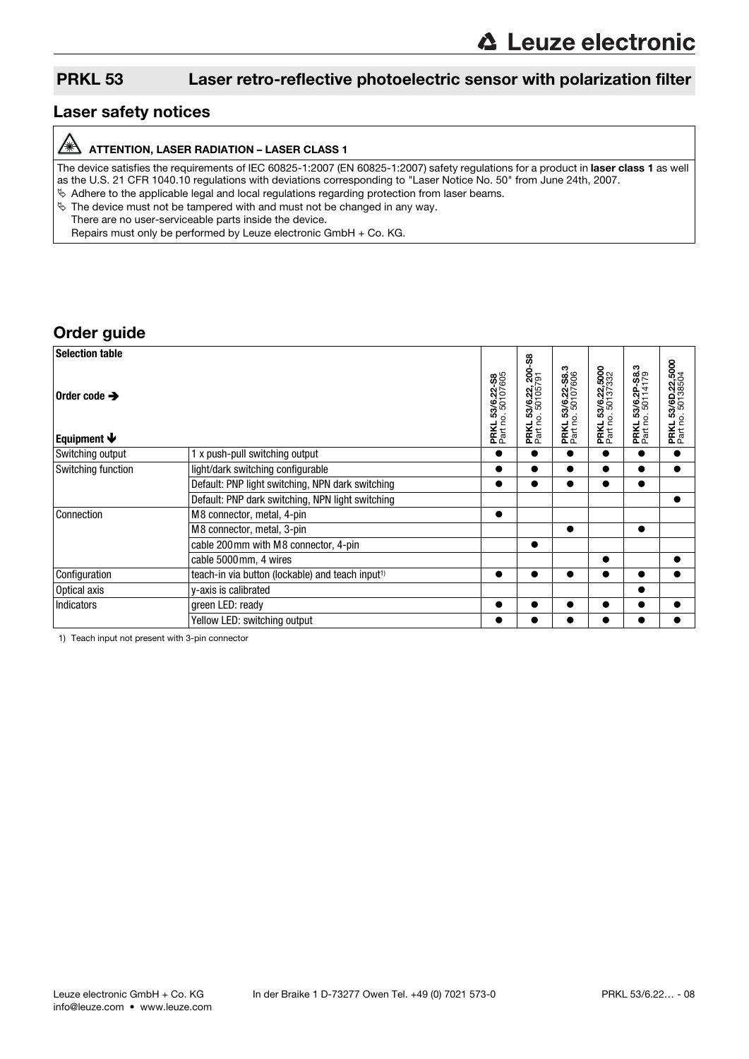### Laser safety notices

#### /À ATTENTION, LASER RADIATION – LASER CLASS 1

The device satisfies the requirements of IEC 60825-1:2007 (EN 60825-1:2007) safety regulations for a product in laser class 1 as well as the U.S. 21 CFR 1040.10 regulations with deviations corresponding to "Laser Notice No. 50" from June 24th, 2007.  $\&$  Adhere to the applicable legal and local regulations regarding protection from laser beams.

 $\frac{1}{2}$  The device must not be tampered with and must not be changed in any way.

There are no user-serviceable parts inside the device.

Repairs must only be performed by Leuze electronic GmbH + Co. KG.

## Order guide

| <b>Selection table</b>                                |                                                              |                                      |                                               |                                               |                                                   |                                                   |                                                    |
|-------------------------------------------------------|--------------------------------------------------------------|--------------------------------------|-----------------------------------------------|-----------------------------------------------|---------------------------------------------------|---------------------------------------------------|----------------------------------------------------|
| Order code $\rightarrow$<br>Equipment $\blacklozenge$ |                                                              | PRKL 53/6.22-S8<br>Part no. 50107605 | အို<br>PRKL 53/6.22, 200<br>Part no. 50105791 | <b>PRKL 53/6.22-S8.3</b><br>Part no. 50107606 | 53/6.22,5000<br>o.50137332<br>PRKL 53<br>Part no. | 53/6.2P-S8.3<br>0.50114179<br>PRKL 53<br>Part no. | 53/6D.22,5000<br>0.50138504<br>PRKL 53<br>Part no. |
| Switching output                                      | x push-pull switching output                                 |                                      |                                               | ●                                             |                                                   | ●                                                 | $\bullet$                                          |
| Switching function                                    | light/dark switching configurable                            |                                      |                                               |                                               |                                                   |                                                   |                                                    |
|                                                       | Default: PNP light switching, NPN dark switching             |                                      |                                               | 0                                             | $\bullet$                                         |                                                   |                                                    |
|                                                       | Default: PNP dark switching, NPN light switching             |                                      |                                               |                                               |                                                   |                                                   | $\bullet$                                          |
| Connection                                            | M8 connector, metal, 4-pin                                   |                                      |                                               |                                               |                                                   |                                                   |                                                    |
|                                                       | M8 connector, metal, 3-pin                                   |                                      |                                               |                                               |                                                   | $\bullet$                                         |                                                    |
|                                                       | cable 200 mm with M8 connector, 4-pin                        |                                      |                                               |                                               |                                                   |                                                   |                                                    |
|                                                       | cable 5000mm, 4 wires                                        |                                      |                                               |                                               |                                                   |                                                   |                                                    |
| Configuration                                         | teach-in via button (lockable) and teach input <sup>1)</sup> |                                      |                                               |                                               | $\bullet$                                         | ●                                                 |                                                    |
| Optical axis                                          | y-axis is calibrated                                         |                                      |                                               |                                               |                                                   |                                                   |                                                    |
| <b>Indicators</b>                                     | green LED: ready                                             |                                      |                                               |                                               |                                                   |                                                   |                                                    |
|                                                       | Yellow LED: switching output                                 |                                      |                                               |                                               |                                                   |                                                   |                                                    |

1) Teach input not present with 3-pin connector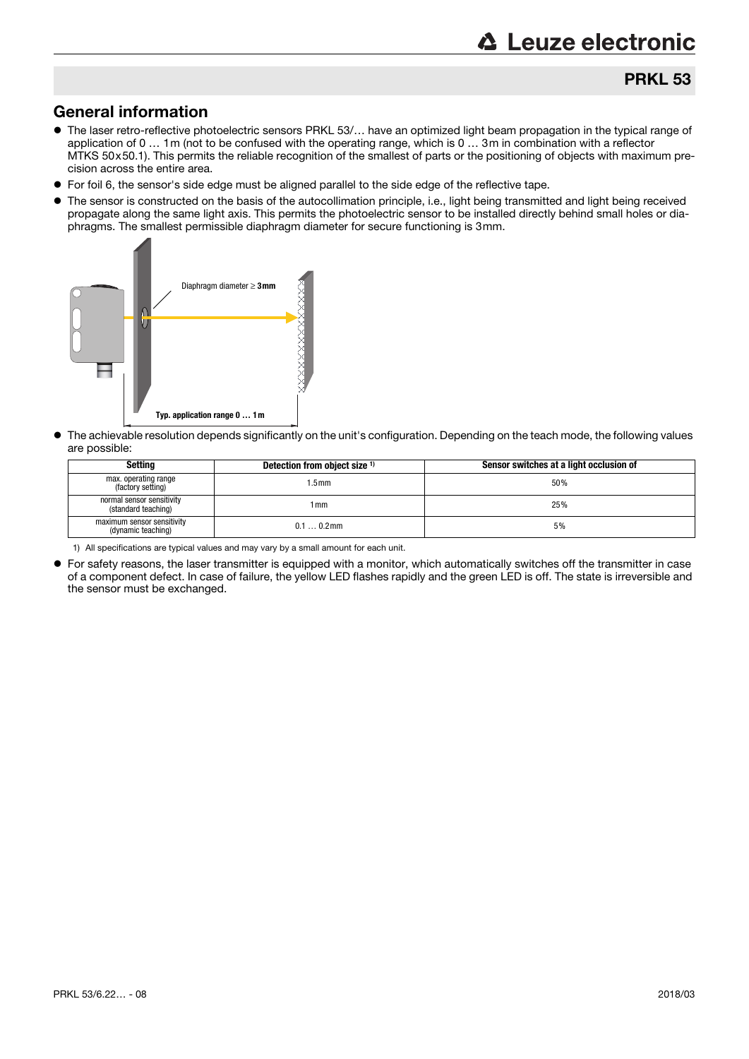## General information

- The laser retro-reflective photoelectric sensors PRKL 53/… have an optimized light beam propagation in the typical range of application of 0 … 1m (not to be confused with the operating range, which is 0 … 3m in combination with a reflector MTKS 50x50.1). This permits the reliable recognition of the smallest of parts or the positioning of objects with maximum precision across the entire area.
- For foil 6, the sensor's side edge must be aligned parallel to the side edge of the reflective tape.
- The sensor is constructed on the basis of the autocollimation principle, i.e., light being transmitted and light being received propagate along the same light axis. This permits the photoelectric sensor to be installed directly behind small holes or diaphragms. The smallest permissible diaphragm diameter for secure functioning is 3mm.



 The achievable resolution depends significantly on the unit's configuration. Depending on the teach mode, the following values are possible:

| Setting                                          | Detection from object size 1) | Sensor switches at a light occlusion of |
|--------------------------------------------------|-------------------------------|-----------------------------------------|
| max. operating range<br>(factory setting)        | $1.5$ mm                      | 50%                                     |
| normal sensor sensitivity<br>(standard teaching) | l mm                          | 25%                                     |
| maximum sensor sensitivity<br>(dynamic teaching) | $0.10.2$ mm                   | 5%                                      |

1) All specifications are typical values and may vary by a small amount for each unit.

 For safety reasons, the laser transmitter is equipped with a monitor, which automatically switches off the transmitter in case of a component defect. In case of failure, the yellow LED flashes rapidly and the green LED is off. The state is irreversible and the sensor must be exchanged.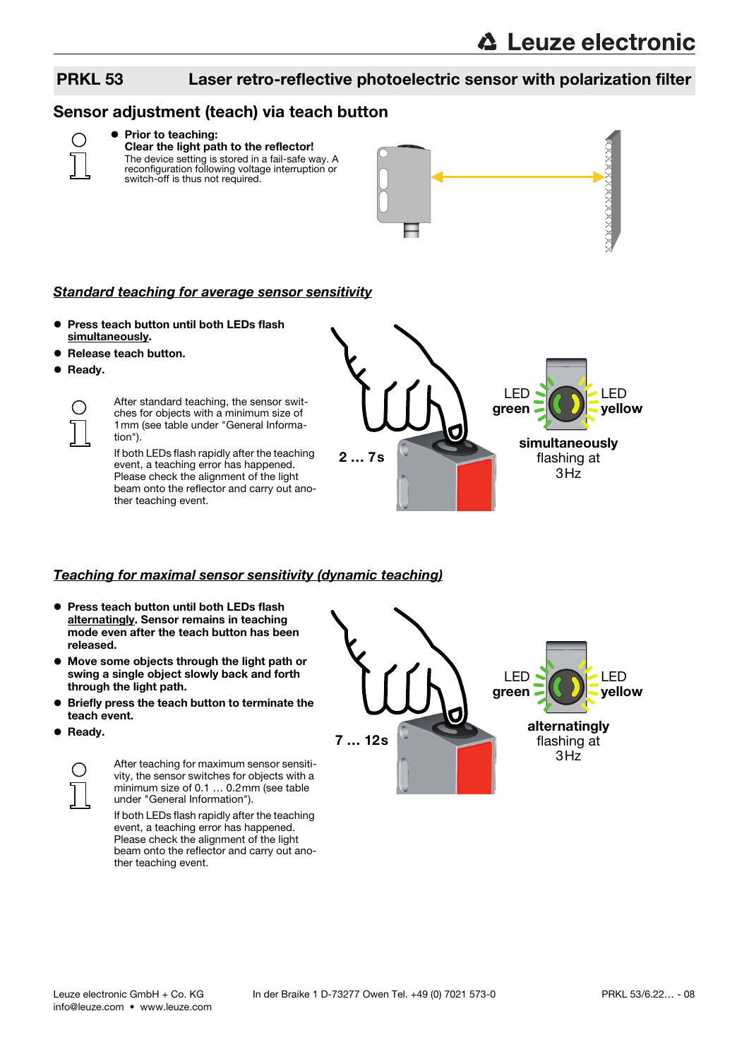## Sensor adjustment (teach) via teach button



#### **• Prior to teaching:** Clear the light path to the reflector!

The device setting is stored in a fail-safe way. A reconfiguration following voltage interruption or switch-off is thus not required.



#### Standard teaching for average sensor sensitivity

- **Press teach button until both LEDs flash** simultaneously.
- Release teach button.
- **•** Ready.

 $\subset$ 

After standard teaching, the sensor switches for objects with a minimum size of 1mm (see table under "General Information").

If both LEDs flash rapidly after the teaching event, a teaching error has happened. Please check the alignment of the light beam onto the reflector and carry out another teaching event.



#### Teaching for maximal sensor sensitivity (dynamic teaching)

- **Press teach button until both LEDs flash** alternatingly. Sensor remains in teaching mode even after the teach button has been released.
- Move some objects through the light path or swing a single object slowly back and forth through the light path.
- Briefly press the teach button to terminate the teach event.
- **•** Ready.



After teaching for maximum sensor sensitivity, the sensor switches for objects with a minimum size of 0.1 … 0.2mm (see table under "General Information").

If both LEDs flash rapidly after the teaching event, a teaching error has happened. Please check the alignment of the light beam onto the reflector and carry out another teaching event.

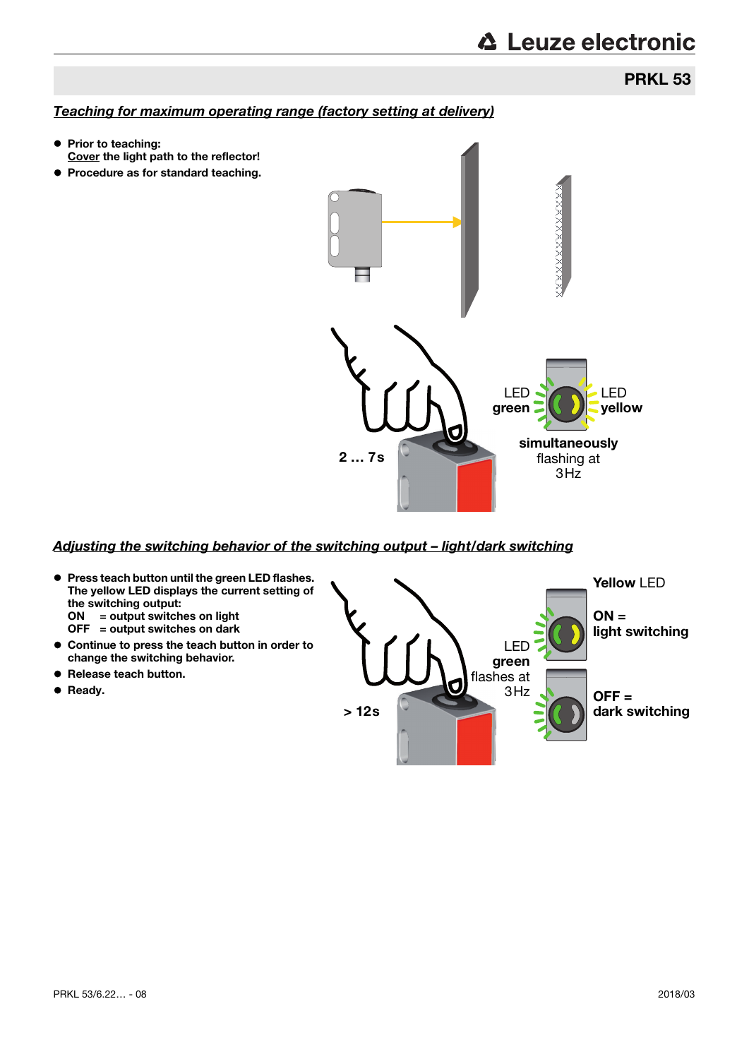## PRKL 53

## Teaching for maximum operating range (factory setting at delivery)

- **Prior to teaching:** Cover the light path to the reflector!
- **Procedure as for standard teaching.**



### Adjusting the switching behavior of the switching output – light/dark switching

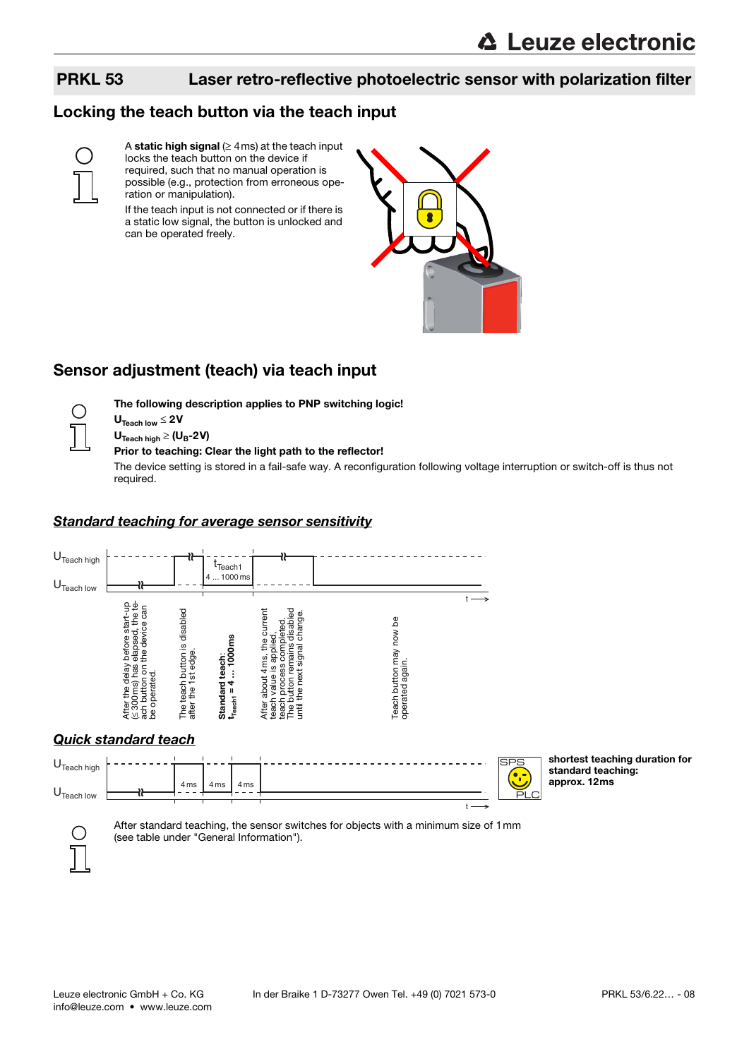## Locking the teach button via the teach input



A static high signal  $(≥ 4ms)$  at the teach input locks the teach button on the device if required, such that no manual operation is possible (e.g., protection from erroneous operation or manipulation).

If the teach input is not connected or if there is a static low signal, the button is unlocked and can be operated freely.



## Sensor adjustment (teach) via teach input



 $U_{\text{Teach low}} \leq 2V$  $U_{\text{Teach hidh}} \geq (U_B - 2V)$ 

### Prior to teaching: Clear the light path to the reflector!

The following description applies to PNP switching logic!

The device setting is stored in a fail-safe way. A reconfiguration following voltage interruption or switch-off is thus not required.

### Standard teaching for average sensor sensitivity



shortest teaching duration for

standard teaching: approx. 12ms